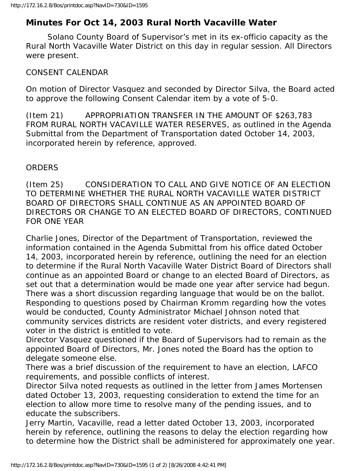## **Minutes For Oct 14, 2003 Rural North Vacaville Water**

 Solano County Board of Supervisor's met in its ex-officio capacity as the Rural North Vacaville Water District on this day in regular session. All Directors were present.

## CONSENT CALENDAR

On motion of Director Vasquez and seconded by Director Silva, the Board acted to approve the following Consent Calendar item by a vote of 5-0.

(Item 21) APPROPRIATION TRANSFER IN THE AMOUNT OF \$263,783 FROM RURAL NORTH VACAVILLE WATER RESERVES, as outlined in the Agenda Submittal from the Department of Transportation dated October 14, 2003, incorporated herein by reference, approved.

## **ORDERS**

(Item 25) CONSIDERATION TO CALL AND GIVE NOTICE OF AN ELECTION TO DETERMINE WHETHER THE RURAL NORTH VACAVILLE WATER DISTRICT BOARD OF DIRECTORS SHALL CONTINUE AS AN APPOINTED BOARD OF DIRECTORS OR CHANGE TO AN ELECTED BOARD OF DIRECTORS, CONTINUED FOR ONE YEAR

Charlie Jones, Director of the Department of Transportation, reviewed the information contained in the Agenda Submittal from his office dated October 14, 2003, incorporated herein by reference, outlining the need for an election to determine if the Rural North Vacaville Water District Board of Directors shall continue as an appointed Board or change to an elected Board of Directors, as set out that a determination would be made one year after service had begun. There was a short discussion regarding language that would be on the ballot. Responding to questions posed by Chairman Kromm regarding how the votes would be conducted, County Administrator Michael Johnson noted that community services districts are resident voter districts, and every registered voter in the district is entitled to vote.

Director Vasquez questioned if the Board of Supervisors had to remain as the appointed Board of Directors, Mr. Jones noted the Board has the option to delegate someone else.

There was a brief discussion of the requirement to have an election, LAFCO requirements, and possible conflicts of interest.

Director Silva noted requests as outlined in the letter from James Mortensen dated October 13, 2003, requesting consideration to extend the time for an election to allow more time to resolve many of the pending issues, and to educate the subscribers.

Jerry Martin, Vacaville, read a letter dated October 13, 2003, incorporated herein by reference, outlining the reasons to delay the election regarding how to determine how the District shall be administered for approximately one year.